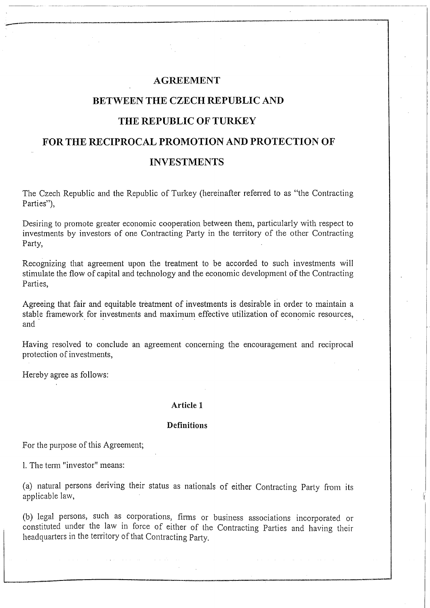## **AGREEMENT**

--------- ,----------------~-------\_.\_-----\_ .. \_ .. \_-

# **BETWEEN THE CZECH REPUBLIC AND**

## **THE REPUBLIC OF TURKEY**

## **FOR THE RECIPROCAL PROMOTION AND PROTECTION OF**

## **INVESTMENTS**

The Czech Republic and the Republic of Turkey (hereinafter referred to as "the Contracting Parties"),

Desiring to promote greater economic cooperation between them, particularly with respect to investments by investors of one Contracting Party in the territory of the other Contracting Party,

Recognizing that agreement upon the treatment to be accorded to such investments will stimulate the flow of capital and technology and the economic development of the Contracting Parties,

Agreeing that fair and equitable treatment of investments is desirable in order to maintain a stable framework for investments and maximum effective utilization of economic resources, Recognizing that agreement upon the treatment to be accorded to such investments will<br>stimulate the flow of capital and technology and the economic development of the Contracting<br>Parties,<br>Agreeing that fair and equitable t

Having resolved to conclude an agreement concerning the encouragement and reciprocal protection of investments,

Hereby agree as follows:

#### **Article 1**

### **Definitions**

For the purpose of this Agreement;

L The tenn "investor" means:

(a) natural persons deriving their status as nationals of either Contracting Party from its applicable law,

(b) legal persons, such as corporations, finns or business associations incorporated or constituted under the law in force of either of the Contracting Parties and having their headquarters in the territory of that Contracting Party.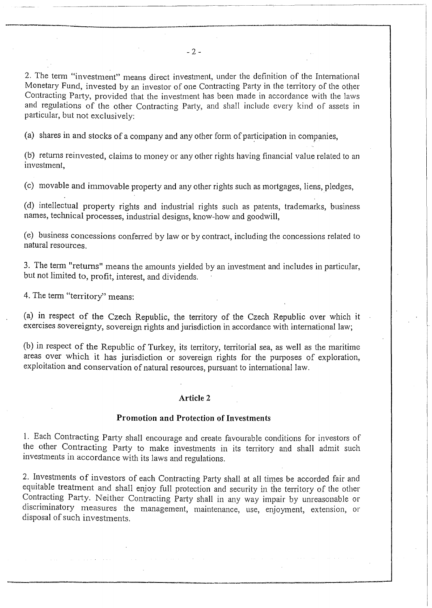2. The term "investment" means direct investment, under the definition of the International Monetary Fund, invested by an investor of one Contracting Party in the territory of the other Contracting Party, provided that the investment has been made in accordance with the laws and regulations of the other Contracting Party, and shall include every kind of assets in particular, but not exclusively:

(a) shares in and stocks of a company and any other form of participation in companies,

Cb) retums reinvested, claims to money or any other rights having financial value related to an investment,

(c) movable and immovable property and any other rights such as mortgages, liens, pledges,

(d) intellectual property rights and industrial rights such as patents, trademarks, business names, teclmical processes, industrial designs, know-how and goodwill,

(e) business concessions confen'ed by law or by contract, including the concessions related to natural resources.

3. The tenn "returns" means the amounts yielded by an investment and includes in particular, but not limited to, profit, interest, and dividends.

4. The term "territory" means:

-. \_\_ . ----------

(a) in respect of the Czech Republic, the territory of the Czech Republic over which it exercises sovereignty, sovereign rights and jurisdiction in accordance with intemational law;

(b) in respect of the Republic of Turkey, its territory, territorial sea, as well as the maritime areas over which it has jurisdiction or sovereign rights for the purposes of exploration, exploitation and conservation of natural resources, pursuant to intemational law.

#### **Article 2**

### **Promotion and Protection of Investments**

l. Each Contracting Party shall encourage and create favourable conditions for investors of the other Contracting Party to make investments in its territory and shall admit such investments in accordance with its laws and regulations.

2. Investments of investors of each Contracting Party shall at all times be accorded fair and equitable treatment and shall enjoy full protection and security in the territory of the other Contracting Party. Neither Contracting Party shall in any way impair by unreasonable or discriminatory measures the management, maintenance, use, enjoyment, extension, or disposal of such investments.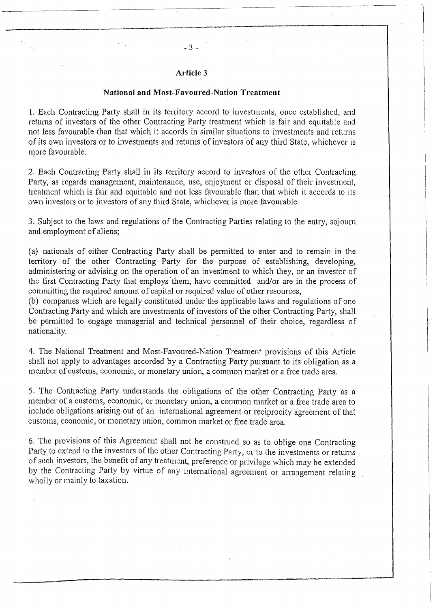## **Article 3**

 $-3 -$ 

--------,-------' --\_.\_-\_.\_-\_. \_\_ .--\_.

### **National and Most-Favoured-Nation Treatment**

1. Each Contracting Party shall in its tenitory accord to investments, once established, and retums of investors of the other Contracting Party treatment which is fair and equitable and not less favourable than that which it accords in similar situations to investments and retums of its own investors or to investments and retums of investors of any third State, whichever is more favourable.

2. Each Contracting Party shall in its territory accord to investors of the other Contracting Party, as regards management, maintenance, use, enjoyment or disposal of their investment, treatment which is fair and equitable and not less favourable than that which it accords to its own investors or to investors of any third State, whichever is more favourable.

3. Subject to the laws and regulations of the Contracting Parties relating to the entry, sojoum and employment of aliens;

(a) nationals of either Contracting Party shall be permitted to enter and to remain in the tenitory of the other Contracting Party for the purpose of establishing, developing, administering or advising on the operation of an investment to which they, or an investor of the first Contracting Party that employs 'them, have committed and/or are in the process of committing the required amount of capital or required value of other resources,

Cb) companies which are legally constituted under the applicable laws and regulations of one Contracting Party and which are investments of investors of the other Contracting Party, shall be permitted to engage managerial and technical personnel of their choice, regardless of nationality.

4. The National Treatment and Most-Favoured-Nation Treatment provisions of this Article shall not apply to advantages accorded by a Contracting Party pursuant to its obligation as a member of customs, economic, or monetary union, a common market or a free trade area.

5. The Contracting Party understands the obligations of the other Contracting Party as a member of a customs, economic, or monetary union, a common market or a free trade area to include obligations arising out of an intemational agreement or reciprocity agreement of that customs, economic, or monetary union, common market or free trade area.

6. The provisions of this Agreement shall not be construed so as to oblige one Contracting Party to extend to the investors of the other Contracting Party, or to the investments or returns of such investors, the benefit of any treatment, preference or privilege which may be extended by the Contracting Party by virtue of any international agreement or arrangement relating wholly or mainly to taxation.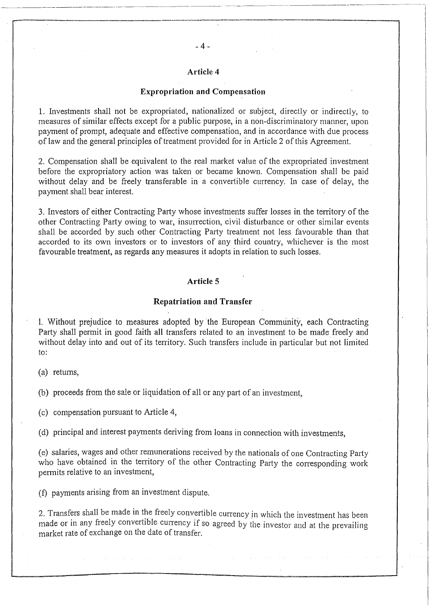#### **Expropriation and Compensation**

1. Investments shall not be expropriated, nationalized or subject, directly or indirectly, to measures of similar effects except for a public purpose, in a non-discriminatory manner, upon payment of prompt, adequate and effective compensation, and in accordance with due process of law and the general principles of treatment provided for in Article 2 ofthis Agreement.

2. Compensation shall be equivalent to the real market value of the expropriated investment before the expropriatory action was taken or became known. Compensation shall be paid without delay and be freely transferable in a convertible currency. In case of delay, the payment shall bear interest.

3. Investors of either Contracting Patiy whose investments suffer losses in the territory of the other Contracting Party owing to war, insurrection, civil disturbance or other similar events shall be accorded by such other Contracting Party treatment not less favourable than that accorded to its own investors or to investors of any third country, whichever is the most favourable treatment, as regards any measures it adopts in relation to such losses.

### **Article 5**

#### **Repatriation and Transfer**

1. Without prejudice to measures adopted by 'the European Community, each Contracting Party shall permit in good faith all transfers related to an investment to be made freely and without delay into and out of its territory. Such transfers include in particular but not limited to:

 $(a)$  returns,

(b) proceeds from the sale or liquidation of all or any part of an investment,

(c) compensation pursuant to Article 4,

(d) principal and interest payments deriving from loans in connection with investments,

(e) salaries, wages and other remunerations received by the nationals of one Contracting Party who have obtained in the territory of the other Contracting Party the corresponding work permits relative to an investment,

(f) payments arising from an investment dispute.

2. Transfers shall be made in the freely convertible currency in which the investment has been made or in any freely convertible currency if so agreed by the investor and at the prevailing market rate of exchange on the date of transfer.

-------,---"----------,---'------\_.\_-'-----\_.\_-------------------.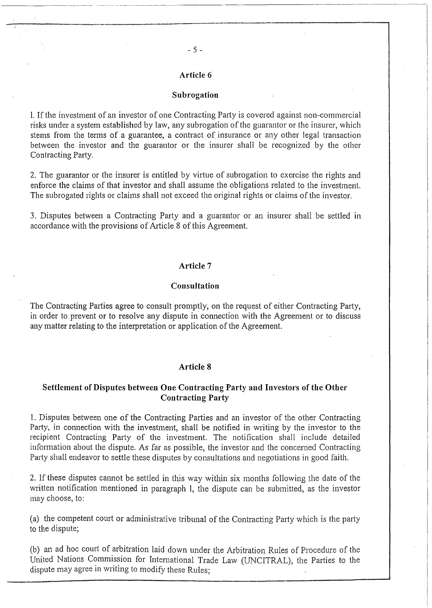- 5 -

.---'\_. ------- .--.---.......... -.-.~--.'."' ...... ""--.-

### **Subrogation**

1. If the investment of an investor of one Contracting Party is covered against non-commercial risks under a system established by law, any subrogation of the guarantor or the insurer, which stems from the terms of a guarantee, a contract of insurance or any other legal transaction between the investor and the guarantor or the insurer shall be recognized by the other Contracting Party.

2. The guarantor or the insurer is entitled by virtue of subrogation to exercise the rights and enforce the claims of that investor and shall assume the obligations related to the investment. The subrogated rights or claims shall not exceed the original rights or claims of the investor.

3. Disputes between a Contracting Party and a guarantor or an insurer shall be settled in accordance with the provisions of Article 8 of this Agreement.

#### **Article 7**

#### **Consultation**

The Contracting Parties agree to consult promptly, on the request of either Contracting Party, in order to prevent or to resolve any dispute in connection with the Agreement or to discuss any matter relating to the interpretation or application of the Agreement.

#### **Article 8**

## **Settlement of Disputes between One Contracting Party and Investors of the Other Contracting Party**

1. Disputes between one of the Contracting Parties and an investor of the other Contracting Party, in connection with the investment, shall be notified in writing by the investor to the recipient Contracting Party of the investment. The notification shall include detailed information about the dispute. As far as possible, the investor and the concerned Contracting Party shall endeavor to settle these disputes by consultations and negotiations in good faith.

2. If these disputes cannot be settled in this way within six months following the date of the written notification mentioned in paragraph 1, the dispute can be submitted, as the investor may choose, to:

(a) the competent court or administrative tribunal of the Contracting Party which is the party to the dispute;

(b) an ad hoc court of arbitration laid down under the Arbitration Rules of Procedure of the United Nations Commission for Intemational Trade Law (UNCITRAL), the Parties to the dispute may agree in writing to modify these Rules;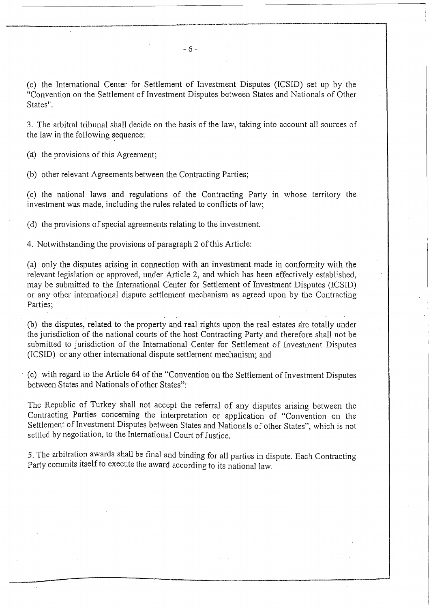(c) the International Center for Settlement of Investment Disputes (ICSID) set up by the "Convention on the Settlement of Investment Disputes between States and Nationals of Other States".

3. The arbitral tribunal shall decide on the basis of the law, taking into account all sources of the law in the following sequence:

(a) the provisions of this Agreement;

(b) other relevant Agreements between the Contracting Parties;

 $(c)$  the national laws and regulations of the Contracting Party in whose territory the investment was made, including the rules related to conflicts of law;

(d) the provisions of special agreements relating to the investment.

4. Notwithstanding the provisions of paragraph 2 of this Article:

(a) only the disputes arising in connection with an investment made in conformity with the relevant legislation or approved, under Article 2, and which has been effectively established, may be submitted to the International Center for Settlement of Investment Disputes (ICSID) or any other intemational dispute settlement mechanism as agreed upon by the Contracting Parties;

(b) the disputes, related to the property and real rights upon the real estates are totally under the jurisdiction of the national courts of the host Contracting Party and therefore shall not be submitted to jurisdiction of the Intemational Center for Settlement of Investment Disputes (ICSID) or any other international dispute settlement mechanism; and

(c) with regard to the Article 64 of the "Convention on the Settlement of Investment Disputes between States and Nationals of other States":

The Republic of Turkey shall not accept the referral of any disputes arising between the Contracting Parties concerning the interpretation or application of "Convention on the Settlement of Investment Disputes between States and Nationals of other States", which is not settled by negotiation, to the Intemational Court of Justice.

5. The arbitration awards shall be final and binding for all parties in dispute. Each Contracting Party commits itself to execute the award according to its national law.

....... ..........,--.""~~.~ ...... ,..,.,.,.,... .... ~ .. """" ......... --. \_.....-"''''''''' ... \_--------\_. --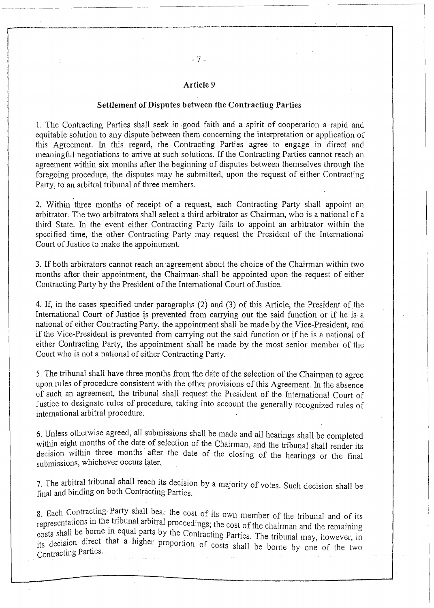### **Article 9**

#### **Settlement of Disputes between the Contracting Parties**

1. The Contracting Parties shall seek in ,good faith and a spirit of cooperation a rapid and equitable solution to any dispute between them concerning the interpretation or application of this Agreement. In this regard, the Contracting Parties agree to engage in direct and meaningful negotiations to arrive at such solutions. If the Contracting Parties cannot reach an agreement within six months after the beginning of disputes between themselves through the foregoing procedure, the disputes may be submitted, upon the request of either Contracting Party, to an arbitral tribunal of three members.

2. Within three months of receipt of a request, each Contracting Party shall appoint an arbitrator. The two arbitrators shall select a third arbitrator as Chairman, who is a national of a third State. In the event either Contracting Party fails to appoint an arbitrator within the specified time, the other Contracting Party may request the President of the International Court of Justice to make the appointment.

3. If both arbitrators cannot reach an agreement about the choice of the Chairman within two months after their appointment, the Chairman shall be appointed upon the request of either Contracting Party by the President of the International Court of Justice.

4. If, in the cases specified under paragraphs (2) and (3) of this Article, the President of the International Court of Justice is prevented from carrying out the said function or if he is a national of either Contracting Party, the appointment shall be made by the Vice-President, and if the Vice-President is prevented from carrying out the said function or if he is a national of either Contracting Party, the appointment shall be made by the most senior member of the Court who is not a national of either Contracting Party.

5. The tribunal shall have three months from the date of the selection of the Chainnan to agree upon rules of procedure consistent with the other provisions of this Agreement. In the absence of such an agreement, the tribunal shall request the President of the Intemational Court of Justice to designate rules of procedure, taking into account the generally recognized rules of international arbitral procedure.

6. Unless otherwise agreed, all submissions shall be made and all hearings shall be completed within eight months of the date of selection of the Chairman, and the tribunal shall render its decision within three months after the date of the closing of the hearings or the final submissions, whichever occurs later.

7. The arbitral tribunal shall reach its decision by a majority of votes. Such decision shall be final and binding on both Contracting Parties.

8. Each Contracting Party shall bear the cost of its own member of the tribunal and of its representations in the tribunal arbitral proceedings; the cost of the chairman and the remaining tepresentence 11 equal parts by the Contracting Parties. The tribunal may, however, in its decision direct that a higher proportion of costs shall be borne by one of the two Contracting Parties.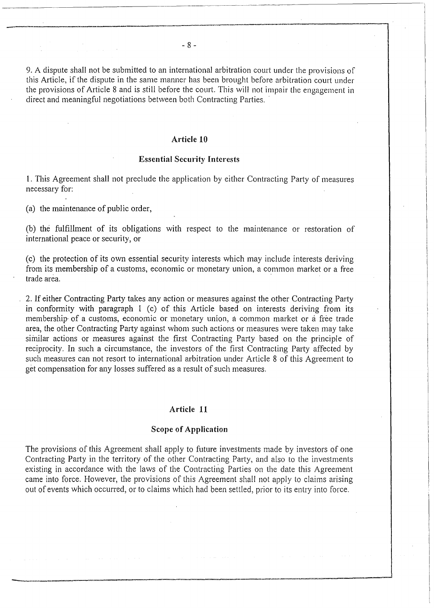9. A dispute shall not be submitted to an international arbitration court under the provisions of this Article, if the dispute in the same manner has been brought before arbitration court under the provisions of Article 8 and is still before the court. This will not impair the engagement in direct and meaningful negotiations between both Contracting Parties.

### **Article 10**

#### **Essential Security Interests**

1. This Agreement shall not preclude the application by either Contracting Patiy of measures necessary for:

(a) the maintenance of public order,

-~-----

(b) the fulfillment of its obligations with respect to the maintenance or restoration of international peace or security, or

(c) the protection of its own essential security interests which may include interests deriving from its membership of a customs, economic or monetary union, a common market or a free trade area. .

2. If either Contracting Party takes any action or measures against the other Contracting Party in conformity with paragraph 1 (c) of this Article based on interests deriving from its membership of a customs, economic or monetary union, a common market or a free trade area, the other Contracting Party against whom such actions or measures were taken may take similar actions or measures against the first Contracting Party based on the principle of reciprocity. In such a circumstance, the investors of the first Contracting Party affected by such measures can not resort to international arbitration under Article 8 of this Agreement to get compensation for any losses suffered as a result of such measures.

### **Article 11**

### **Scope of Application**

The provisions of this Agreement shall apply to future investments made by investors of one Contracting Party in the territory of the other Contracting Party, and also to the investments existing in accordance with the laws of the Contracting Parties on the date this Agreement came into force. However, the provisions of this Agreement shall not apply to claims arising out of events which occurred, or to claims which had been settled, prior to its entry into force.

-------\_.\_' ----.~"'----------.,